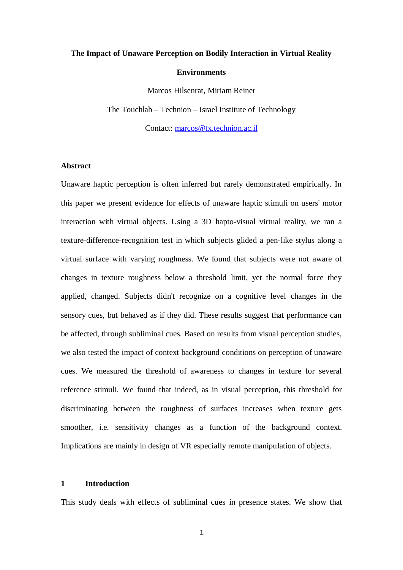# **The Impact of Unaware Perception on Bodily Interaction in Virtual Reality Environments**

Marcos Hilsenrat, Miriam Reiner The Touchlab – Technion – Israel Institute of Technology

Contact: [marcos@tx.technion.ac.il](mailto:marcos@tx.technion.ac.il)

#### **Abstract**

Unaware haptic perception is often inferred but rarely demonstrated empirically. In this paper we present evidence for effects of unaware haptic stimuli on users' motor interaction with virtual objects. Using a 3D hapto-visual virtual reality, we ran a texture-difference-recognition test in which subjects glided a pen-like stylus along a virtual surface with varying roughness. We found that subjects were not aware of changes in texture roughness below a threshold limit, yet the normal force they applied, changed. Subjects didn't recognize on a cognitive level changes in the sensory cues, but behaved as if they did. These results suggest that performance can be affected, through subliminal cues. Based on results from visual perception studies, we also tested the impact of context background conditions on perception of unaware cues. We measured the threshold of awareness to changes in texture for several reference stimuli. We found that indeed, as in visual perception, this threshold for discriminating between the roughness of surfaces increases when texture gets smoother, i.e. sensitivity changes as a function of the background context. Implications are mainly in design of VR especially remote manipulation of objects.

## **1 Introduction**

This study deals with effects of subliminal cues in presence states. We show that

1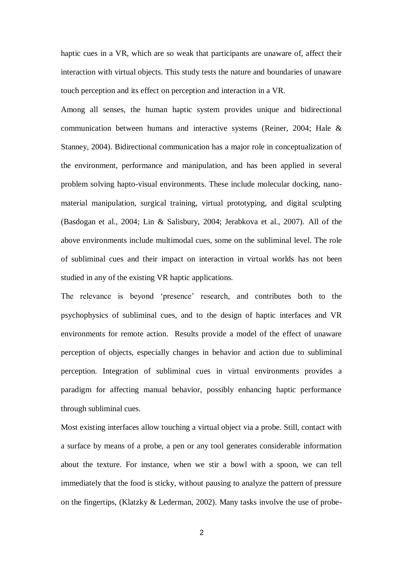haptic cues in a VR, which are so weak that participants are unaware of, affect their interaction with virtual objects. This study tests the nature and boundaries of unaware touch perception and its effect on perception and interaction in a VR.

Among all senses, the human haptic system provides unique and bidirectional communication between humans and interactive systems (Reiner, 2004; Hale & Stanney, 2004). Bidirectional communication has a major role in conceptualization of the environment, performance and manipulation, and has been applied in several problem solving hapto-visual environments. These include molecular docking, nanomaterial manipulation, surgical training, virtual prototyping, and digital sculpting (Basdogan et al., 2004; Lin & Salisbury, 2004; Jerabkova et al., 2007). All of the above environments include multimodal cues, some on the subliminal level. The role of subliminal cues and their impact on interaction in virtual worlds has not been studied in any of the existing VR haptic applications.

The relevance is beyond 'presence' research, and contributes both to the psychophysics of subliminal cues, and to the design of haptic interfaces and VR environments for remote action. Results provide a model of the effect of unaware perception of objects, especially changes in behavior and action due to subliminal perception. Integration of subliminal cues in virtual environments provides a paradigm for affecting manual behavior, possibly enhancing haptic performance through subliminal cues.

Most existing interfaces allow touching a virtual object via a probe. Still, contact with a surface by means of a probe, a pen or any tool generates considerable information about the texture. For instance, when we stir a bowl with a spoon, we can tell immediately that the food is sticky, without pausing to analyze the pattern of pressure on the fingertips, (Klatzky & Lederman, 2002). Many tasks involve the use of probe-

2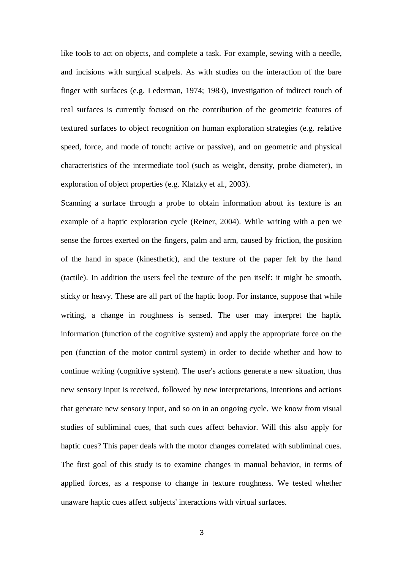like tools to act on objects, and complete a task. For example, sewing with a needle, and incisions with surgical scalpels. As with studies on the interaction of the bare finger with surfaces (e.g. Lederman, 1974; 1983), investigation of indirect touch of real surfaces is currently focused on the contribution of the geometric features of textured surfaces to object recognition on human exploration strategies (e.g. relative speed, force, and mode of touch: active or passive), and on geometric and physical characteristics of the intermediate tool (such as weight, density, probe diameter), in exploration of object properties (e.g. Klatzky et al., 2003).

Scanning a surface through a probe to obtain information about its texture is an example of a haptic exploration cycle (Reiner, 2004). While writing with a pen we sense the forces exerted on the fingers, palm and arm, caused by friction, the position of the hand in space (kinesthetic), and the texture of the paper felt by the hand (tactile). In addition the users feel the texture of the pen itself: it might be smooth, sticky or heavy. These are all part of the haptic loop. For instance, suppose that while writing, a change in roughness is sensed. The user may interpret the haptic information (function of the cognitive system) and apply the appropriate force on the pen (function of the motor control system) in order to decide whether and how to continue writing (cognitive system). The user's actions generate a new situation, thus new sensory input is received, followed by new interpretations, intentions and actions that generate new sensory input, and so on in an ongoing cycle. We know from visual studies of subliminal cues, that such cues affect behavior. Will this also apply for haptic cues? This paper deals with the motor changes correlated with subliminal cues. The first goal of this study is to examine changes in manual behavior, in terms of applied forces, as a response to change in texture roughness. We tested whether unaware haptic cues affect subjects' interactions with virtual surfaces.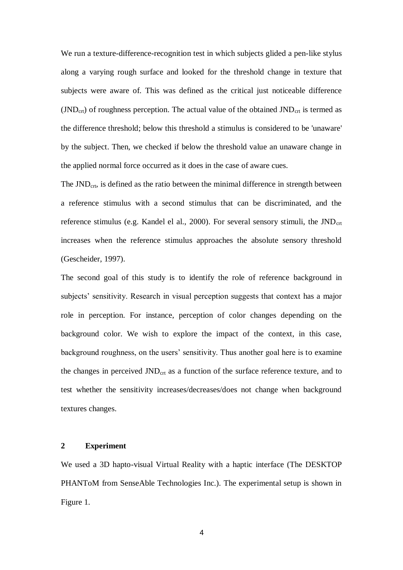We run a texture-difference-recognition test in which subjects glided a pen-like stylus along a varying rough surface and looked for the threshold change in texture that subjects were aware of. This was defined as the critical just noticeable difference  $(JND<sub>crit</sub>)$  of roughness perception. The actual value of the obtained  $JND<sub>crit</sub>$  is termed as the difference threshold; below this threshold a stimulus is considered to be 'unaware' by the subject. Then, we checked if below the threshold value an unaware change in the applied normal force occurred as it does in the case of aware cues.

The  $JND<sub>ctr</sub>$ , is defined as the ratio between the minimal difference in strength between a reference stimulus with a second stimulus that can be discriminated, and the reference stimulus (e.g. Kandel el al., 2000). For several sensory stimuli, the  $JND<sub>crt</sub>$ increases when the reference stimulus approaches the absolute sensory threshold (Gescheider, 1997).

The second goal of this study is to identify the role of reference background in subjects' sensitivity. Research in visual perception suggests that context has a major role in perception. For instance, perception of color changes depending on the background color. We wish to explore the impact of the context, in this case, background roughness, on the users' sensitivity. Thus another goal here is to examine the changes in perceived  $JND<sub>ctr</sub>$  as a function of the surface reference texture, and to test whether the sensitivity increases/decreases/does not change when background textures changes.

## **2 Experiment**

We used a 3D hapto-visual Virtual Reality with a haptic interface (The DESKTOP PHANToM from SenseAble Technologies Inc.). The experimental setup is shown in Figure 1.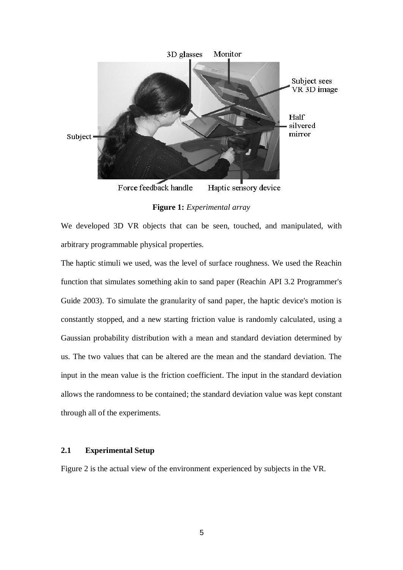

**Figure 1:** *Experimental array*

We developed 3D VR objects that can be seen, touched, and manipulated, with arbitrary programmable physical properties.

The haptic stimuli we used, was the level of surface roughness. We used the Reachin function that simulates something akin to sand paper (Reachin API 3.2 Programmer's Guide 2003). To simulate the granularity of sand paper, the haptic device's motion is constantly stopped, and a new starting friction value is randomly calculated, using a Gaussian probability distribution with a mean and standard deviation determined by us. The two values that can be altered are the mean and the standard deviation. The input in the mean value is the friction coefficient. The input in the standard deviation allows the randomness to be contained; the standard deviation value was kept constant through all of the experiments.

# **2.1 Experimental Setup**

Figure 2 is the actual view of the environment experienced by subjects in the VR.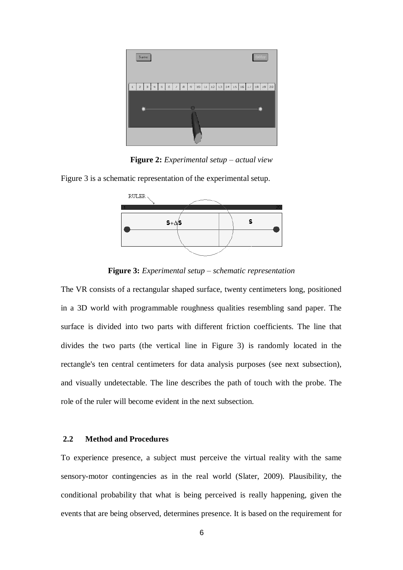

**Figure 2:** *Experimental setup – actual view*

Figure 3 is a schematic representation of the experimental setup.



**Figure 3:** *Experimental setup – schematic representation*

The VR consists of a rectangular shaped surface, twenty centimeters long, positioned in a 3D world with programmable roughness qualities resembling sand paper. The surface is divided into two parts with different friction coefficients. The line that divides the two parts (the vertical line in Figure 3) is randomly located in the rectangle's ten central centimeters for data analysis purposes (see next subsection), and visually undetectable. The line describes the path of touch with the probe. The role of the ruler will become evident in the next subsection.

#### **2.2 Method and Procedures**

To experience presence, a subject must perceive the virtual reality with the same sensory-motor contingencies as in the real world (Slater, 2009). Plausibility, the conditional probability that what is being perceived is really happening, given the events that are being observed, determines presence. It is based on the requirement for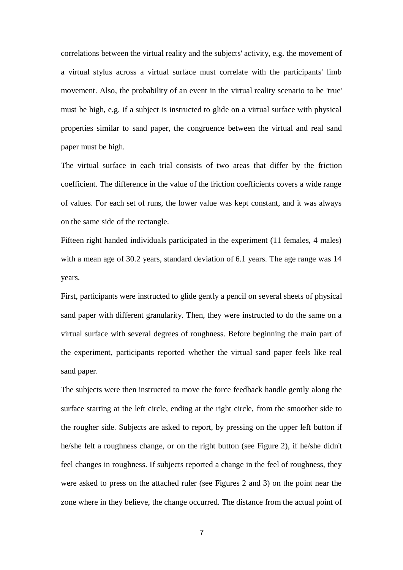correlations between the virtual reality and the subjects' activity, e.g. the movement of a virtual stylus across a virtual surface must correlate with the participants' limb movement. Also, the probability of an event in the virtual reality scenario to be 'true' must be high, e.g. if a subject is instructed to glide on a virtual surface with physical properties similar to sand paper, the congruence between the virtual and real sand paper must be high.

The virtual surface in each trial consists of two areas that differ by the friction coefficient. The difference in the value of the friction coefficients covers a wide range of values. For each set of runs, the lower value was kept constant, and it was always on the same side of the rectangle.

Fifteen right handed individuals participated in the experiment (11 females, 4 males) with a mean age of 30.2 years, standard deviation of 6.1 years. The age range was 14 years.

First, participants were instructed to glide gently a pencil on several sheets of physical sand paper with different granularity. Then, they were instructed to do the same on a virtual surface with several degrees of roughness. Before beginning the main part of the experiment, participants reported whether the virtual sand paper feels like real sand paper.

The subjects were then instructed to move the force feedback handle gently along the surface starting at the left circle, ending at the right circle, from the smoother side to the rougher side. Subjects are asked to report, by pressing on the upper left button if he/she felt a roughness change, or on the right button (see Figure 2), if he/she didn't feel changes in roughness. If subjects reported a change in the feel of roughness, they were asked to press on the attached ruler (see Figures 2 and 3) on the point near the zone where in they believe, the change occurred. The distance from the actual point of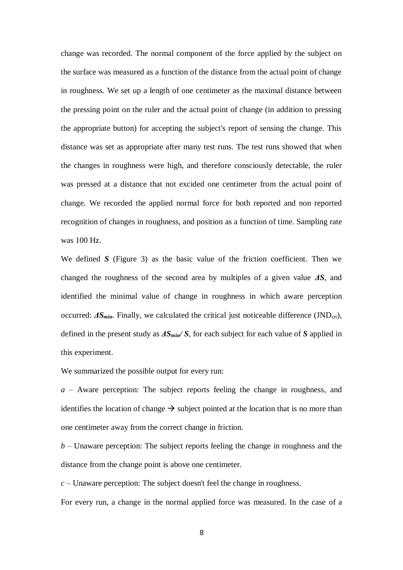change was recorded. The normal component of the force applied by the subject on the surface was measured as a function of the distance from the actual point of change in roughness. We set up a length of one centimeter as the maximal distance between the pressing point on the ruler and the actual point of change (in addition to pressing the appropriate button) for accepting the subject's report of sensing the change. This distance was set as appropriate after many test runs. The test runs showed that when the changes in roughness were high, and therefore consciously detectable, the ruler was pressed at a distance that not excided one centimeter from the actual point of change. We recorded the applied normal force for both reported and non reported recognition of changes in roughness, and position as a function of time. Sampling rate was 100 Hz.

We defined *S* (Figure 3) as the basic value of the friction coefficient. Then we changed the roughness of the second area by multiples of a given value *ΔS*, and identified the minimal value of change in roughness in which aware perception occurred:  $\Delta S_{min}$ . Finally, we calculated the critical just noticeable difference (JND<sub>crt</sub>), defined in the present study as *ΔSmin/ S*, for each subject for each value of *S* applied in this experiment.

We summarized the possible output for every run:

*a* – Aware perception: The subject reports feeling the change in roughness, and identifies the location of change  $\rightarrow$  subject pointed at the location that is no more than one centimeter away from the correct change in friction.

*b* – Unaware perception: The subject reports feeling the change in roughness and the distance from the change point is above one centimeter.

*c* – Unaware perception: The subject doesn't feel the change in roughness.

For every run, a change in the normal applied force was measured. In the case of a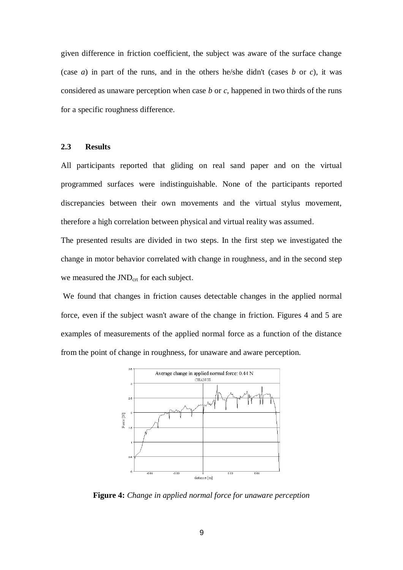given difference in friction coefficient, the subject was aware of the surface change (case *a*) in part of the runs, and in the others he/she didn't (cases  $b$  or  $c$ ), it was considered as unaware perception when case *b* or *c,* happened in two thirds of the runs for a specific roughness difference.

## **2.3 Results**

All participants reported that gliding on real sand paper and on the virtual programmed surfaces were indistinguishable. None of the participants reported discrepancies between their own movements and the virtual stylus movement, therefore a high correlation between physical and virtual reality was assumed.

The presented results are divided in two steps. In the first step we investigated the change in motor behavior correlated with change in roughness, and in the second step we measured the JND<sub>crt</sub> for each subject.

We found that changes in friction causes detectable changes in the applied normal force, even if the subject wasn't aware of the change in friction. Figures 4 and 5 are examples of measurements of the applied normal force as a function of the distance from the point of change in roughness, for unaware and aware perception.



**Figure 4:** *Change in applied normal force for unaware perception*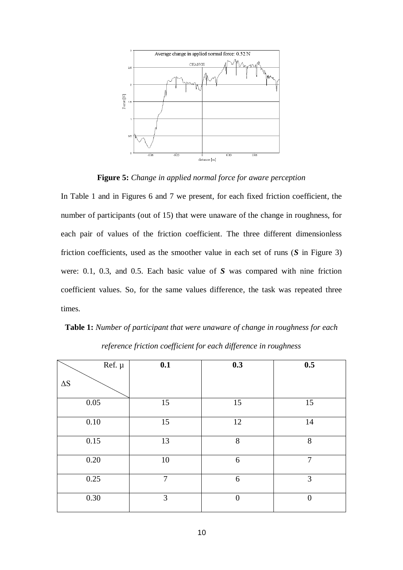

**Figure 5:** *Change in applied normal force for aware perception*

In Table 1 and in Figures 6 and 7 we present, for each fixed friction coefficient, the number of participants (out of 15) that were unaware of the change in roughness, for each pair of values of the friction coefficient. The three different dimensionless friction coefficients, used as the smoother value in each set of runs (*S* in Figure 3) were: 0.1, 0.3, and 0.5. Each basic value of *S* was compared with nine friction coefficient values. So, for the same values difference, the task was repeated three times.

**Table 1:** *Number of participant that were unaware of change in roughness for each reference friction coefficient for each difference in roughness*

| Ref. $\mu$ | 0.1 | 0.3            | 0.5            |
|------------|-----|----------------|----------------|
| $\Delta S$ |     |                |                |
| $0.05\,$   | 15  | 15             | 15             |
| $0.10\,$   | 15  | 12             | 14             |
| 0.15       | 13  | 8              | 8              |
| $0.20\,$   | 10  | 6              | $\tau$         |
| 0.25       | 7   | 6              | 3              |
| 0.30       | 3   | $\overline{0}$ | $\overline{0}$ |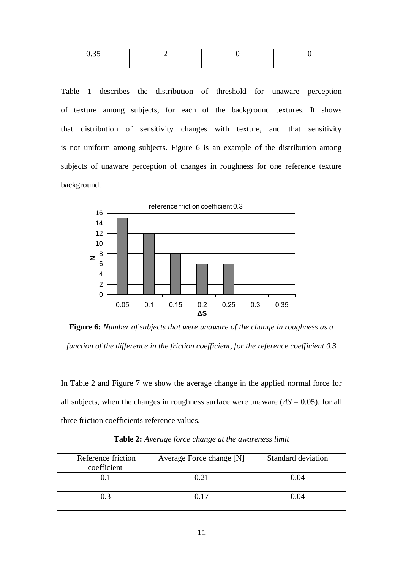| ,,,, |  |  |
|------|--|--|
|      |  |  |

Table 1 describes the distribution of threshold for unaware perception of texture among subjects, for each of the background textures. It shows that distribution of sensitivity changes with texture, and that sensitivity is not uniform among subjects. Figure 6 is an example of the distribution among subjects of unaware perception of changes in roughness for one reference texture background.



**Figure 6:** *Number of subjects that were unaware of the change in roughness as a function of the difference in the friction coefficient, for the reference coefficient 0.3*

In Table 2 and Figure 7 we show the average change in the applied normal force for all subjects, when the changes in roughness surface were unaware  $(\Delta S = 0.05)$ , for all three friction coefficients reference values.

| Reference friction<br>coefficient | Average Force change [N] | Standard deviation |
|-----------------------------------|--------------------------|--------------------|
|                                   | 0.21                     | 0.04               |
| 0.3                               | በ 17                     | ን 04               |

**Table 2:** *Average force change at the awareness limit*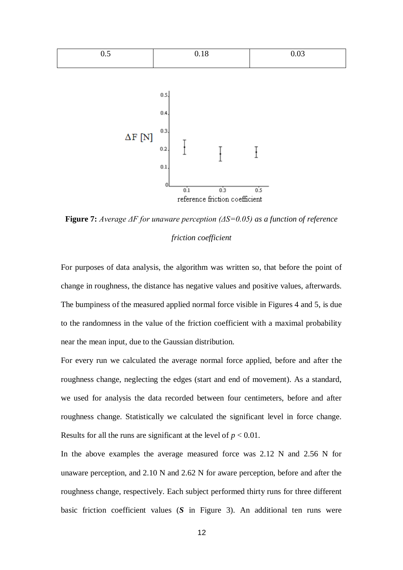

**Figure 7:** *Average ΔF for unaware perception (ΔS=0.05) as a function of reference friction coefficient*

For purposes of data analysis, the algorithm was written so, that before the point of change in roughness, the distance has negative values and positive values, afterwards. The bumpiness of the measured applied normal force visible in Figures 4 and 5, is due to the randomness in the value of the friction coefficient with a maximal probability near the mean input, due to the Gaussian distribution.

For every run we calculated the average normal force applied, before and after the roughness change, neglecting the edges (start and end of movement). As a standard, we used for analysis the data recorded between four centimeters, before and after roughness change. Statistically we calculated the significant level in force change. Results for all the runs are significant at the level of  $p < 0.01$ .

In the above examples the average measured force was 2.12 N and 2.56 N for unaware perception, and 2.10 N and 2.62 N for aware perception, before and after the roughness change, respectively. Each subject performed thirty runs for three different basic friction coefficient values (*S* in Figure 3). An additional ten runs were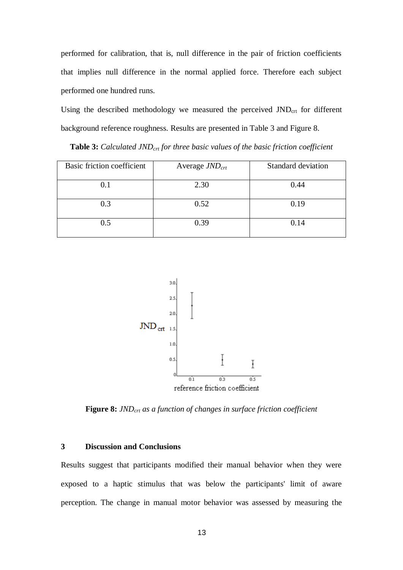performed for calibration, that is, null difference in the pair of friction coefficients that implies null difference in the normal applied force. Therefore each subject performed one hundred runs.

Using the described methodology we measured the perceived  $JND<sub>ctr</sub>$  for different background reference roughness. Results are presented in Table 3 and Figure 8.

**Table 3:** *Calculated JNDcrt for three basic values of the basic friction coefficient*

| Basic friction coefficient | Average $JND_{crt}$ | <b>Standard deviation</b> |
|----------------------------|---------------------|---------------------------|
| 0.1                        | 2.30                | 0.44                      |
| 0.3                        | 0.52                | 0.19                      |
| 0.5                        | 0.39                | 0.14                      |



**Figure 8:** *JNDcrt as a function of changes in surface friction coefficient*

# **3 Discussion and Conclusions**

Results suggest that participants modified their manual behavior when they were exposed to a haptic stimulus that was below the participants' limit of aware perception. The change in manual motor behavior was assessed by measuring the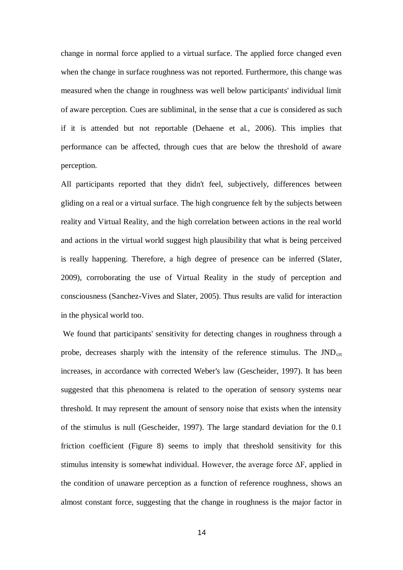change in normal force applied to a virtual surface. The applied force changed even when the change in surface roughness was not reported. Furthermore, this change was measured when the change in roughness was well below participants' individual limit of aware perception. Cues are subliminal, in the sense that a cue is considered as such if it is attended but not reportable (Dehaene et al., 2006). This implies that performance can be affected, through cues that are below the threshold of aware perception.

All participants reported that they didn't feel, subjectively, differences between gliding on a real or a virtual surface. The high congruence felt by the subjects between reality and Virtual Reality, and the high correlation between actions in the real world and actions in the virtual world suggest high plausibility that what is being perceived is really happening. Therefore, a high degree of presence can be inferred (Slater, 2009), corroborating the use of Virtual Reality in the study of perception and consciousness (Sanchez-Vives and Slater, 2005). Thus results are valid for interaction in the physical world too.

We found that participants' sensitivity for detecting changes in roughness through a probe, decreases sharply with the intensity of the reference stimulus. The  $JND<sub>crt</sub>$ increases, in accordance with corrected Weber's law (Gescheider, 1997). It has been suggested that this phenomena is related to the operation of sensory systems near threshold. It may represent the amount of sensory noise that exists when the intensity of the stimulus is null (Gescheider, 1997). The large standard deviation for the 0.1 friction coefficient (Figure 8) seems to imply that threshold sensitivity for this stimulus intensity is somewhat individual. However, the average force  $\Delta F$ , applied in the condition of unaware perception as a function of reference roughness, shows an almost constant force, suggesting that the change in roughness is the major factor in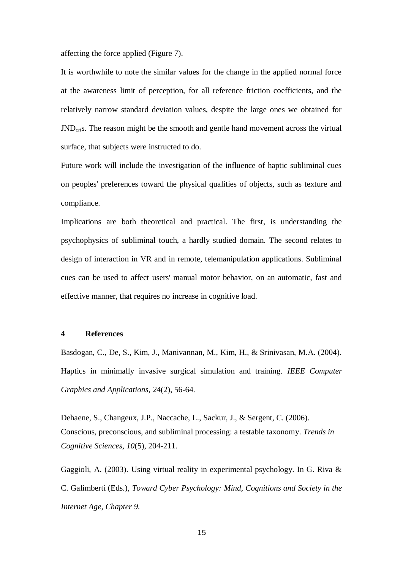affecting the force applied (Figure 7).

It is worthwhile to note the similar values for the change in the applied normal force at the awareness limit of perception, for all reference friction coefficients, and the relatively narrow standard deviation values, despite the large ones we obtained for JNDcrts. The reason might be the smooth and gentle hand movement across the virtual surface, that subjects were instructed to do.

Future work will include the investigation of the influence of haptic subliminal cues on peoples' preferences toward the physical qualities of objects, such as texture and compliance.

Implications are both theoretical and practical. The first, is understanding the psychophysics of subliminal touch, a hardly studied domain. The second relates to design of interaction in VR and in remote, telemanipulation applications. Subliminal cues can be used to affect users' manual motor behavior, on an automatic, fast and effective manner, that requires no increase in cognitive load.

# **4 References**

Basdogan, C., De, S., Kim, J., Manivannan, M., Kim, H., & Srinivasan, M.A. (2004). Haptics in minimally invasive surgical simulation and training. *IEEE Computer Graphics and Applications, 24*(2), 56-64.

Dehaene, S., Changeux, J.P., Naccache, L., Sackur, J., & Sergent, C. (2006). Conscious, preconscious, and subliminal processing: a testable taxonomy. *Trends in Cognitive Sciences, 10*(5), 204-211.

Gaggioli, A. (2003). Using virtual reality in experimental psychology. In G. Riva & C. Galimberti (Eds.), *Toward Cyber Psychology: Mind, Cognitions and Society in the Internet Age, Chapter 9.*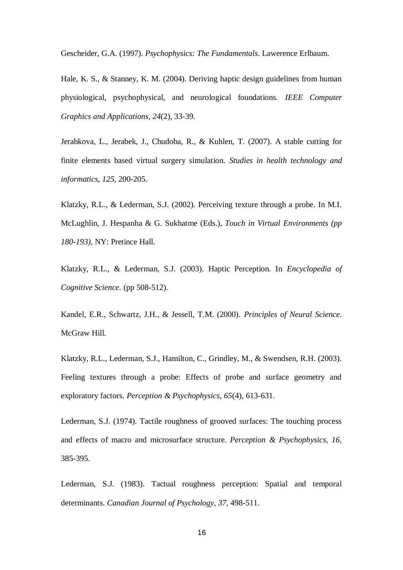Gescheider, G.A. (1997). *Psychophysics: The Fundamentals*. Lawerence Erlbaum.

Hale, K. S., & Stanney, K. M. (2004). Deriving haptic design guidelines from human physiological, psychophysical, and neurological foundations. *IEEE Computer Graphics and Applications, 24*(2), 33-39.

Jerabkova, L., Jerabek, J., Chudoba, R., & Kuhlen, T. (2007). A stable cutting for finite elements based virtual surgery simulation. *Studies in health technology and informatics, 125*, 200-205.

Klatzky, R.L., & Lederman, S.J. (2002). Perceiving texture through a probe. In M.I. McLughlin, J. Hespanha & G. Sukhatme (Eds.), *Touch in Virtual Environments (pp 180-193)*, NY: Pretince Hall.

Klatzky, R.L., & Lederman, S.J. (2003). Haptic Perception. In *Encyclopedia of Cognitive Science.* (pp 508-512).

Kandel, E.R., Schwartz, J.H., & Jessell, T.M. (2000). *Principles of Neural Science*. McGraw Hill.

Klatzky, R.L., Lederman, S.J., Hamilton, C., Grindley, M., & Swendsen, R.H. (2003). Feeling textures through a probe: Effects of probe and surface geometry and exploratory factors. *Perception & Psychophysics, 65*(4), 613-631.

Lederman, S.J. (1974). Tactile roughness of grooved surfaces: The touching process and effects of macro and microsurface structure. *Perception & Psychophysics, 16*, 385-395.

Lederman, S.J. (1983). Tactual roughness perception: Spatial and temporal determinants. *Canadian Journal of Psychology, 37*, 498-511.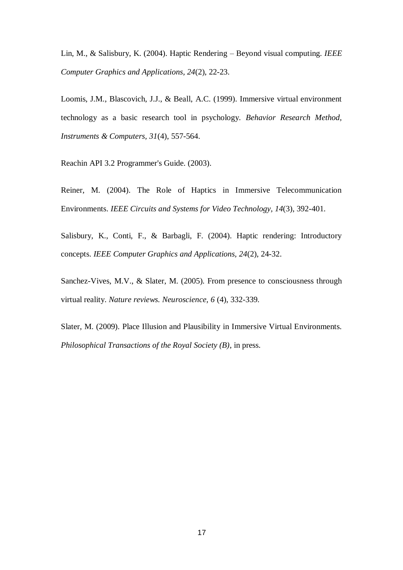Lin, M., & Salisbury, K. (2004). Haptic Rendering – Beyond visual computing. *IEEE Computer Graphics and Applications, 24*(2), 22-23.

Loomis, J.M., Blascovich, J.J., & Beall, A.C. (1999). Immersive virtual environment technology as a basic research tool in psychology. *Behavior Research Method, Instruments & Computers, 31*(4), 557-564.

Reachin API 3.2 Programmer's Guide. (2003).

Reiner, M. (2004). The Role of Haptics in Immersive Telecommunication Environments. *IEEE Circuits and Systems for Video Technology, 14*(3), 392-401.

Salisbury, K., Conti, F., & Barbagli, F. (2004). Haptic rendering: Introductory concepts. *IEEE Computer Graphics and Applications, 24*(2), 24-32.

Sanchez-Vives, M.V., & Slater, M. (2005). From presence to consciousness through virtual reality. *Nature reviews. Neuroscience, 6* (4), 332-339.

Slater, M. (2009). Place Illusion and Plausibility in Immersive Virtual Environments. *Philosophical Transactions of the Royal Society (B)*, in press.